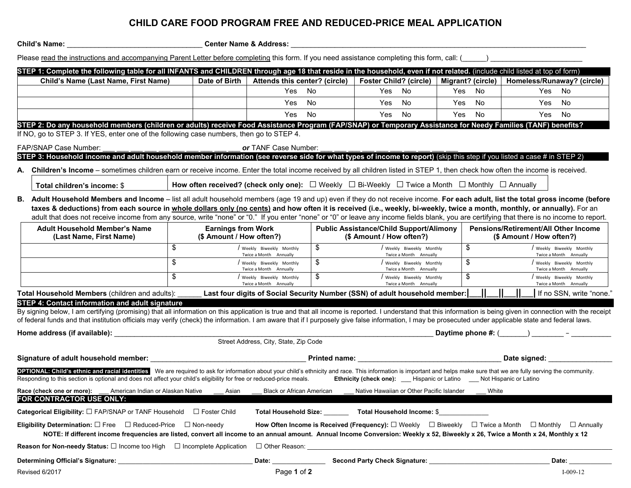## **CHILD CARE FOOD PROGRAM FREE AND REDUCED-PRICE MEAL APPLICATION**

**Child's Name:** \_\_\_\_\_\_\_\_\_\_\_\_\_\_\_\_\_\_\_\_\_\_\_\_\_\_\_\_\_\_\_\_\_\_ **Center Name & Address:** \_\_\_\_\_\_\_\_\_\_\_\_\_\_\_\_\_\_\_\_\_\_\_\_\_\_\_\_\_\_\_\_\_\_\_\_\_\_\_\_\_\_\_\_\_\_\_\_\_\_\_\_\_\_\_\_\_\_\_\_\_\_\_\_\_\_\_\_\_\_\_\_\_\_

| Please read the instructions and accompanying Parent Letter before completing this form. If you need assistance completing this form, call: (<br>STEP 1: Complete the following table for all INFANTS and CHILDREN through age 18 that reside in the household, even if not related. (include child listed at top of form)                                                                                                                                                                                                                                                          |                                                       |                                                     |                                                                            |                                                                                                                          |                          |                                                                  |  |
|-------------------------------------------------------------------------------------------------------------------------------------------------------------------------------------------------------------------------------------------------------------------------------------------------------------------------------------------------------------------------------------------------------------------------------------------------------------------------------------------------------------------------------------------------------------------------------------|-------------------------------------------------------|-----------------------------------------------------|----------------------------------------------------------------------------|--------------------------------------------------------------------------------------------------------------------------|--------------------------|------------------------------------------------------------------|--|
| Child's Name (Last Name, First Name)                                                                                                                                                                                                                                                                                                                                                                                                                                                                                                                                                | Date of Birth                                         | Attends this center? (circle)                       |                                                                            | <b>Foster Child? (circle)</b>                                                                                            | Migrant? (circle)        | Homeless/Runaway? (circle)                                       |  |
|                                                                                                                                                                                                                                                                                                                                                                                                                                                                                                                                                                                     |                                                       | Yes                                                 | No                                                                         | Yes No                                                                                                                   | Yes<br>No                | Yes<br>No                                                        |  |
|                                                                                                                                                                                                                                                                                                                                                                                                                                                                                                                                                                                     |                                                       | Yes                                                 | No                                                                         | Yes<br>No                                                                                                                | No<br>Yes                | Yes<br>No                                                        |  |
|                                                                                                                                                                                                                                                                                                                                                                                                                                                                                                                                                                                     |                                                       | Yes.                                                | <b>No</b>                                                                  | No<br>Yes                                                                                                                | Yes<br><b>No</b>         | No<br>Yes                                                        |  |
| STEP 2: Do any household members (children or adults) receive Food Assistance Program (FAP/SNAP) or Temporary Assistance for Needy Families (TANF) benefits?<br>If NO, go to STEP 3. If YES, enter one of the following case numbers, then go to STEP 4.                                                                                                                                                                                                                                                                                                                            |                                                       |                                                     |                                                                            |                                                                                                                          |                          |                                                                  |  |
| <b>FAP/SNAP Case Number:</b>                                                                                                                                                                                                                                                                                                                                                                                                                                                                                                                                                        |                                                       | or TANF Case Number:                                |                                                                            |                                                                                                                          |                          |                                                                  |  |
| STEP 3: Household income and adult household member information (see reverse side for what types of income to report) (skip this step if you listed a case # in STEP 2)                                                                                                                                                                                                                                                                                                                                                                                                             |                                                       |                                                     |                                                                            |                                                                                                                          |                          |                                                                  |  |
| Children's Income - sometimes children earn or receive income. Enter the total income received by all children listed in STEP 1, then check how often the income is received.<br>А.<br>Total children's income: \$<br>B. Adult Household Members and Income - list all adult household members (age 19 and up) even if they do not receive income. For each adult, list the total gross income (before<br>taxes & deductions) from each source in whole dollars only (no cents) and how often it is received (i.e., weekly, bi-weekly, twice a month, monthly, or annually). For an |                                                       |                                                     |                                                                            | How often received? (check only one): $\Box$ Weekly $\Box$ Bi-Weekly $\Box$ Twice a Month $\Box$ Monthly $\Box$ Annually |                          |                                                                  |  |
| adult that does not receive income from any source, write "none" or "0." If you enter "none" or "0" or leave any income fields blank, you are certifying that there is no income to report.                                                                                                                                                                                                                                                                                                                                                                                         |                                                       |                                                     |                                                                            |                                                                                                                          |                          |                                                                  |  |
| <b>Adult Household Member's Name</b><br>(Last Name, First Name)                                                                                                                                                                                                                                                                                                                                                                                                                                                                                                                     | <b>Earnings from Work</b><br>(\$ Amount / How often?) |                                                     | <b>Public Assistance/Child Support/Alimony</b><br>(\$ Amount / How often?) |                                                                                                                          |                          | Pensions/Retirement/All Other Income<br>(\$ Amount / How often?) |  |
|                                                                                                                                                                                                                                                                                                                                                                                                                                                                                                                                                                                     | \$                                                    | / Weekly Biweekly Monthly<br>Twice a Month Annually | \$                                                                         | / Weekly Biweekly Monthly<br>Twice a Month Annually                                                                      | \$                       | Weekly Biweekly Monthly<br>Twice a Month Annually                |  |
|                                                                                                                                                                                                                                                                                                                                                                                                                                                                                                                                                                                     | \$                                                    | Weekly Biweekly Monthly<br>Twice a Month Annually   | \$                                                                         | Weekly Biweekly Monthly<br>Twice a Month Annually                                                                        | \$                       | Weekly Biweekly Monthly<br>Twice a Month Annually                |  |
|                                                                                                                                                                                                                                                                                                                                                                                                                                                                                                                                                                                     | \$                                                    | / Weekly Biweekly Monthly<br>Twice a Month Annually | \$                                                                         | / Weekly Biweekly Monthly<br>Twice a Month Annually                                                                      | \$                       | Weekly Biweekly Monthly<br>Twice a Month Annually                |  |
| Total Household Members (children and adults):                                                                                                                                                                                                                                                                                                                                                                                                                                                                                                                                      |                                                       |                                                     |                                                                            | Last four digits of Social Security Number (SSN) of adult household member:                                              |                          | If no SSN, write "none."                                         |  |
| STEP 4: Contact information and adult signature                                                                                                                                                                                                                                                                                                                                                                                                                                                                                                                                     |                                                       |                                                     |                                                                            |                                                                                                                          |                          |                                                                  |  |
| By signing below, I am certifying (promising) that all information on this application is true and that all income is reported. I understand that this information is being given in connection with the receipt<br>of federal funds and that institution officials may verify (check) the information. I am aware that if I purposely give false information, I may be prosecuted under applicable state and federal laws.                                                                                                                                                         |                                                       |                                                     |                                                                            |                                                                                                                          |                          |                                                                  |  |
| Home address (if available):                                                                                                                                                                                                                                                                                                                                                                                                                                                                                                                                                        |                                                       |                                                     |                                                                            |                                                                                                                          | Daytime phone $\#$ : $($ |                                                                  |  |
|                                                                                                                                                                                                                                                                                                                                                                                                                                                                                                                                                                                     |                                                       | Street Address, City, State, Zip Code               |                                                                            |                                                                                                                          |                          |                                                                  |  |
| Signature of adult household member:                                                                                                                                                                                                                                                                                                                                                                                                                                                                                                                                                | <b>Printed name:</b>                                  |                                                     |                                                                            |                                                                                                                          | Date signed:             |                                                                  |  |
| OPTIONAL: Child's ethnic and racial identities We are required to ask for information about your child's ethnicity and race. This information is important and helps make sure that we are fully serving the community.                                                                                                                                                                                                                                                                                                                                                             |                                                       |                                                     |                                                                            |                                                                                                                          |                          |                                                                  |  |
| Responding to this section is optional and does not affect your child's eligibility for free or reduced-price meals.                                                                                                                                                                                                                                                                                                                                                                                                                                                                |                                                       |                                                     |                                                                            | <b>Ethnicity (check one):</b> Hispanic or Latino Not Hispanic or Latino                                                  |                          |                                                                  |  |

**FOR CONTRACTOR USE ONLY:**………………………………………………………………………………………………………………………………………………………………...…….……….XX**Categorical Eligibility:** □ FAP/SNAP or TANF Household □ Foster Child **Total Household Size:** \_\_\_\_\_\_\_ **Total Household Income:** \$\_\_\_\_\_\_\_\_\_\_\_\_\_\_

**Eligibility Determination:** □ Free □ Reduced-Price □ Non-needy **How Often Income is Received (Frequency):** □ Weekly □ Biweekly □ Twice a Month □ Monthly □ Annually NOTE: If different income frequencies are listed, convert all income to an annual amount. Annual Income Conversion: Weekly x 52, Biweekly x 26, Twice a Month x 24, Monthly x 12

**Reason for Non-needy Status:** □ Income too High □ Incomplete Application □ Other Reason:

Revised 6/2017 Page **1** of **2** I-009-12 **Determining Official's Signature:** \_\_\_\_\_\_\_\_\_\_\_\_\_\_\_\_\_\_\_\_\_\_\_\_\_\_\_\_\_\_\_\_\_\_\_\_\_\_ **Date:** \_\_\_\_\_\_\_\_\_\_\_\_\_\_\_ **Second Party Check Signature:** \_\_\_\_\_\_\_\_\_\_\_\_\_\_\_\_\_\_\_\_\_\_\_\_\_\_\_\_\_\_\_\_\_\_ **Date:** \_\_\_\_\_\_\_\_\_\_\_\_